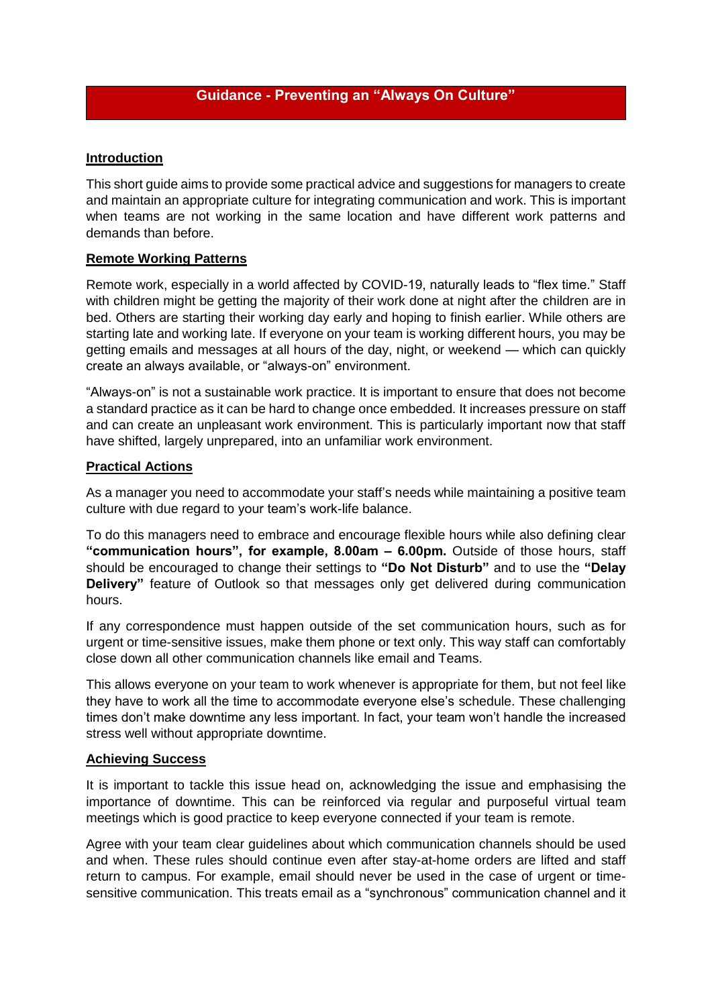## **Introduction**

This short guide aims to provide some practical advice and suggestions for managers to create and maintain an appropriate culture for integrating communication and work. This is important when teams are not working in the same location and have different work patterns and demands than before.

## **Remote Working Patterns**

Remote work, especially in a world affected by COVID-19, naturally leads to "flex time." Staff with children might be getting the majority of their work done at night after the children are in bed. Others are starting their working day early and hoping to finish earlier. While others are starting late and working late. If everyone on your team is working different hours, you may be getting emails and messages at all hours of the day, night, or weekend — which can quickly create an always available, or "always-on" environment.

"Always-on" is not a sustainable work practice. It is important to ensure that does not become a standard practice as it can be hard to change once embedded. It increases pressure on staff and can create an unpleasant work environment. This is particularly important now that staff have shifted, largely unprepared, into an unfamiliar work environment.

# **Practical Actions**

As a manager you need to accommodate your staff's needs while maintaining a positive team culture with due regard to your team's work-life balance.

To do this managers need to embrace and encourage flexible hours while also defining clear **"communication hours", for example, 8.00am – 6.00pm.** Outside of those hours, staff should be encouraged to change their settings to **"Do Not Disturb"** and to use the **"Delay Delivery"** feature of Outlook so that messages only get delivered during communication hours.

If any correspondence must happen outside of the set communication hours, such as for urgent or time-sensitive issues, make them phone or text only. This way staff can comfortably close down all other communication channels like email and Teams.

This allows everyone on your team to work whenever is appropriate for them, but not feel like they have to work all the time to accommodate everyone else's schedule. These challenging times don't make downtime any less important. In fact, your team won't handle the increased stress well without appropriate downtime.

### **Achieving Success**

It is important to tackle this issue head on, acknowledging the issue and emphasising the importance of downtime. This can be reinforced via regular and purposeful virtual team meetings which is good practice to keep everyone connected if your team is remote.

Agree with your team clear guidelines about which communication channels should be used and when. These rules should continue even after stay-at-home orders are lifted and staff return to campus. For example, email should never be used in the case of urgent or timesensitive communication. This treats email as a "synchronous" communication channel and it